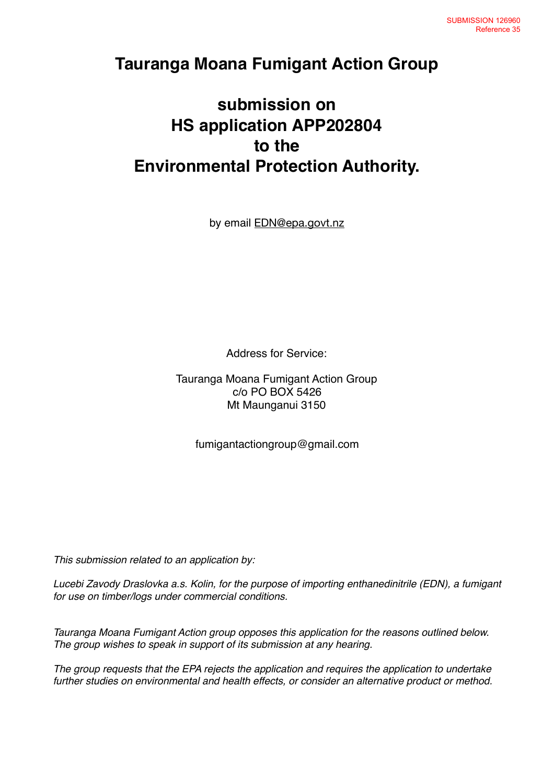## **Tauranga Moana Fumigant Action Group**

# **submission on HS application APP202804 to the Environmental Protection Authority.**

by email [EDN@epa.govt.nz](mailto:EDN@epa.govt.nz)

Address for Service:

Tauranga Moana Fumigant Action Group c/o PO BOX 5426 Mt Maunganui 3150

fumigantactiongroup@gmail.com

*This submission related to an application by:*

*Lucebi Zavody Draslovka a.s. Kolin, for the purpose of importing enthanedinitrile (EDN), a fumigant for use on timber/logs under commercial conditions.*

*Tauranga Moana Fumigant Action group opposes this application for the reasons outlined below. The group wishes to speak in support of its submission at any hearing.* 

*The group requests that the EPA rejects the application and requires the application to undertake further studies on environmental and health effects, or consider an alternative product or method.*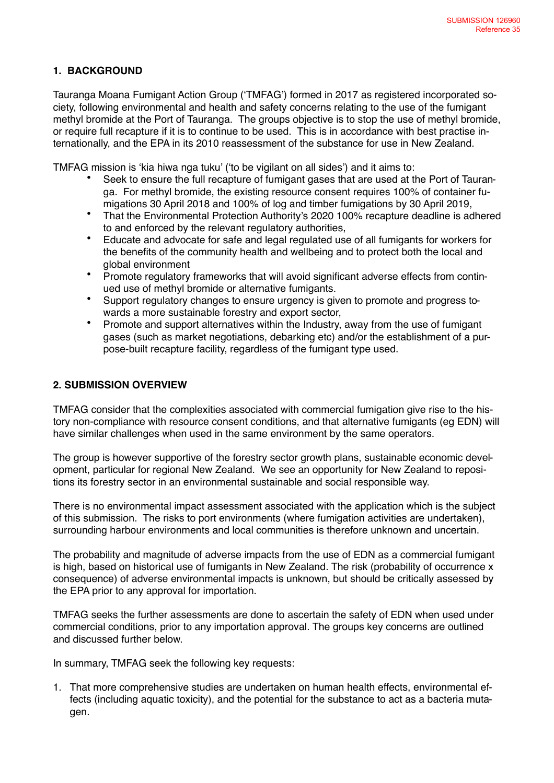### **1. BACKGROUND**

Tauranga Moana Fumigant Action Group ('TMFAG') formed in 2017 as registered incorporated society, following environmental and health and safety concerns relating to the use of the fumigant methyl bromide at the Port of Tauranga. The groups objective is to stop the use of methyl bromide, or require full recapture if it is to continue to be used. This is in accordance with best practise internationally, and the EPA in its 2010 reassessment of the substance for use in New Zealand.

TMFAG mission is 'kia hiwa nga tuku' ('to be vigilant on all sides') and it aims to:

- Seek to ensure the full recapture of fumigant gases that are used at the Port of Tauranga. For methyl bromide, the existing resource consent requires 100% of container fumigations 30 April 2018 and 100% of log and timber fumigations by 30 April 2019,
- That the Environmental Protection Authority's 2020 100% recapture deadline is adhered to and enforced by the relevant regulatory authorities,
- Educate and advocate for safe and legal regulated use of all fumigants for workers for the benefits of the community health and wellbeing and to protect both the local and global environment
- Promote regulatory frameworks that will avoid significant adverse effects from continued use of methyl bromide or alternative fumigants.
- Support regulatory changes to ensure urgency is given to promote and progress towards a more sustainable forestry and export sector,
- Promote and support alternatives within the Industry, away from the use of fumigant gases (such as market negotiations, debarking etc) and/or the establishment of a purpose-built recapture facility, regardless of the fumigant type used.

#### **2. SUBMISSION OVERVIEW**

TMFAG consider that the complexities associated with commercial fumigation give rise to the history non-compliance with resource consent conditions, and that alternative fumigants (eg EDN) will have similar challenges when used in the same environment by the same operators.

The group is however supportive of the forestry sector growth plans, sustainable economic development, particular for regional New Zealand. We see an opportunity for New Zealand to repositions its forestry sector in an environmental sustainable and social responsible way.

There is no environmental impact assessment associated with the application which is the subject of this submission. The risks to port environments (where fumigation activities are undertaken), surrounding harbour environments and local communities is therefore unknown and uncertain.

The probability and magnitude of adverse impacts from the use of EDN as a commercial fumigant is high, based on historical use of fumigants in New Zealand. The risk (probability of occurrence x consequence) of adverse environmental impacts is unknown, but should be critically assessed by the EPA prior to any approval for importation.

TMFAG seeks the further assessments are done to ascertain the safety of EDN when used under commercial conditions, prior to any importation approval. The groups key concerns are outlined and discussed further below.

In summary, TMFAG seek the following key requests:

1. That more comprehensive studies are undertaken on human health effects, environmental effects (including aquatic toxicity), and the potential for the substance to act as a bacteria mutagen.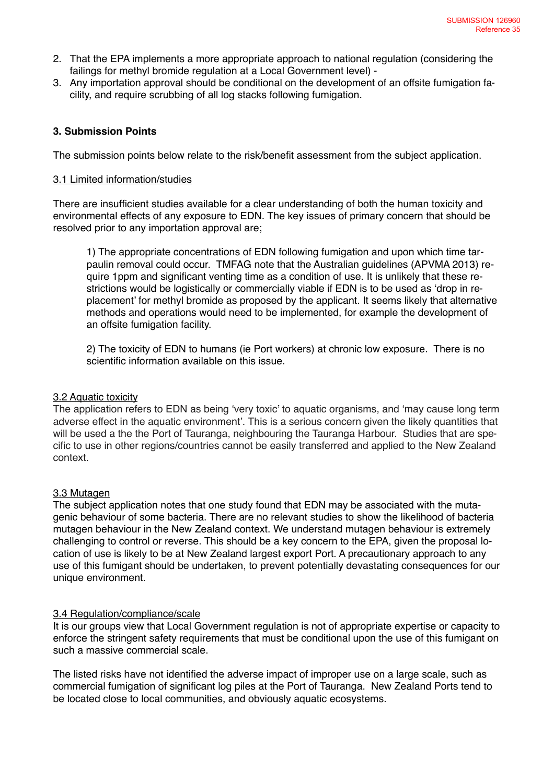- 2. That the EPA implements a more appropriate approach to national regulation (considering the failings for methyl bromide regulation at a Local Government level) -
- 3. Any importation approval should be conditional on the development of an offsite fumigation facility, and require scrubbing of all log stacks following fumigation.

#### **3. Submission Points**

The submission points below relate to the risk/benefit assessment from the subject application.

#### 3.1 Limited information/studies

There are insufficient studies available for a clear understanding of both the human toxicity and environmental effects of any exposure to EDN. The key issues of primary concern that should be resolved prior to any importation approval are;

1) The appropriate concentrations of EDN following fumigation and upon which time tarpaulin removal could occur. TMFAG note that the Australian guidelines (APVMA 2013) require 1ppm and significant venting time as a condition of use. It is unlikely that these restrictions would be logistically or commercially viable if EDN is to be used as 'drop in replacement' for methyl bromide as proposed by the applicant. It seems likely that alternative methods and operations would need to be implemented, for example the development of an offsite fumigation facility.

2) The toxicity of EDN to humans (ie Port workers) at chronic low exposure. There is no scientific information available on this issue.

#### 3.2 Aquatic toxicity

The application refers to EDN as being 'very toxic' to aquatic organisms, and 'may cause long term adverse effect in the aquatic environment'. This is a serious concern given the likely quantities that will be used a the the Port of Tauranga, neighbouring the Tauranga Harbour. Studies that are specific to use in other regions/countries cannot be easily transferred and applied to the New Zealand context.

#### 3.3 Mutagen

The subject application notes that one study found that EDN may be associated with the mutagenic behaviour of some bacteria. There are no relevant studies to show the likelihood of bacteria mutagen behaviour in the New Zealand context. We understand mutagen behaviour is extremely challenging to control or reverse. This should be a key concern to the EPA, given the proposal location of use is likely to be at New Zealand largest export Port. A precautionary approach to any use of this fumigant should be undertaken, to prevent potentially devastating consequences for our unique environment.

#### 3.4 Regulation/compliance/scale

It is our groups view that Local Government regulation is not of appropriate expertise or capacity to enforce the stringent safety requirements that must be conditional upon the use of this fumigant on such a massive commercial scale.

The listed risks have not identified the adverse impact of improper use on a large scale, such as commercial fumigation of significant log piles at the Port of Tauranga. New Zealand Ports tend to be located close to local communities, and obviously aquatic ecosystems.